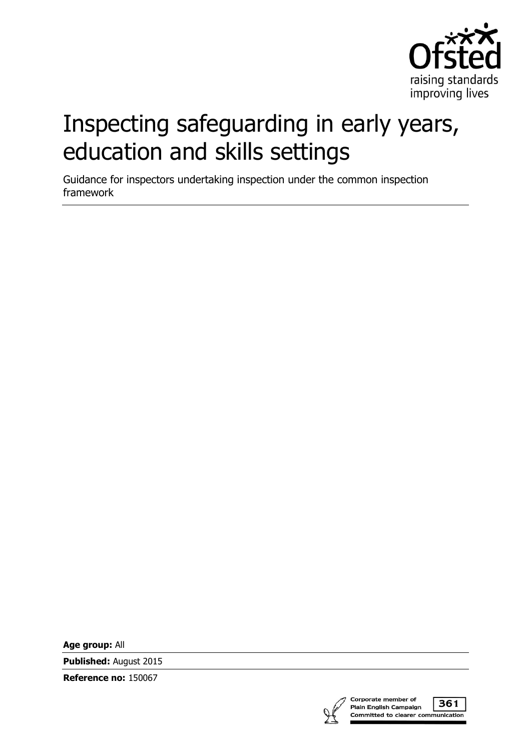

# Inspecting safeguarding in early years, education and skills settings

Guidance for inspectors undertaking inspection under the common inspection framework

**Age group:** All

**Published:** August 2015

**Reference no:** 150067



361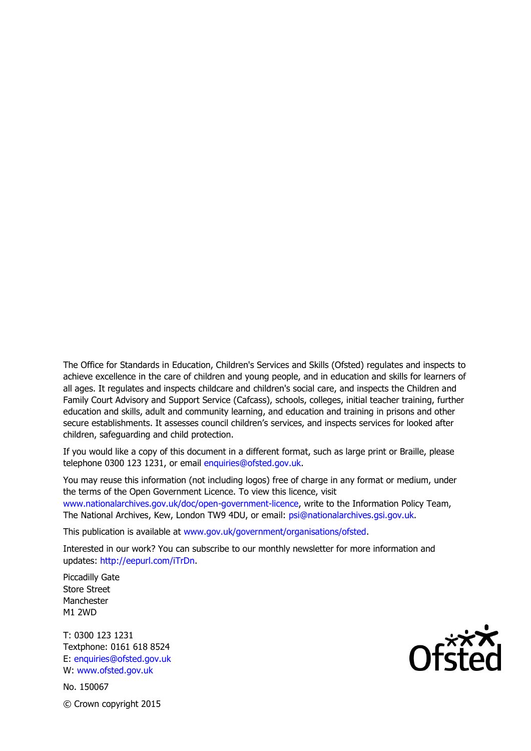The Office for Standards in Education, Children's Services and Skills (Ofsted) regulates and inspects to achieve excellence in the care of children and young people, and in education and skills for learners of all ages. It regulates and inspects childcare and children's social care, and inspects the Children and Family Court Advisory and Support Service (Cafcass), schools, colleges, initial teacher training, further education and skills, adult and community learning, and education and training in prisons and other secure establishments. It assesses council children's services, and inspects services for looked after children, safeguarding and child protection.

If you would like a copy of this document in a different format, such as large print or Braille, please telephone 0300 123 1231, or email enquiries@ofsted.gov.uk.

You may reuse this information (not including logos) free of charge in any format or medium, under the terms of the Open Government Licence. To view this licence, visit www.nationalarchives.gov.uk/doc/open-government-licence, write to the Information Policy Team, The National Archives, Kew, London TW9 4DU, or email: psi@nationalarchives.gsi.gov.uk.

This publication is available at www.gov.uk/government/organisations/ofsted.

Interested in our work? You can subscribe to our monthly newsletter for more information and updates: http://eepurl.com/iTrDn.

Piccadilly Gate Store Street Manchester M1 2WD

T: 0300 123 1231 Textphone: 0161 618 8524 E: enquiries@ofsted.gov.uk W: www.ofsted.gov.uk

No. 150067 © Crown copyright 2015

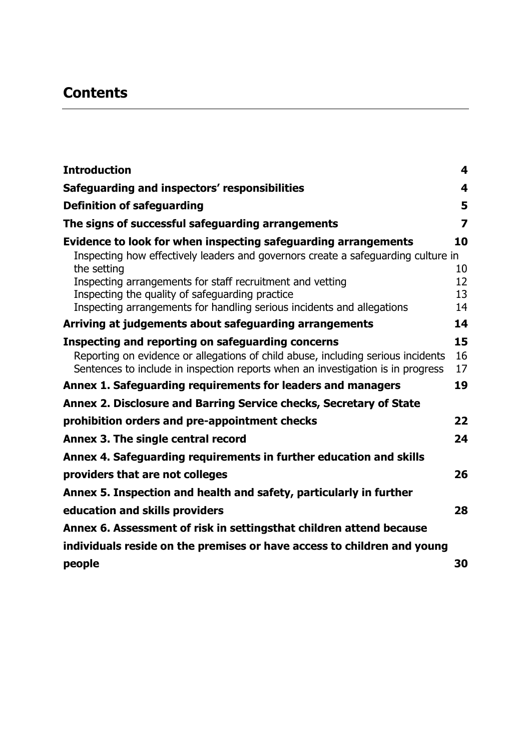# **Contents**

| <b>Introduction</b>                                                                                                                                                                                                                                                                     | 4                    |
|-----------------------------------------------------------------------------------------------------------------------------------------------------------------------------------------------------------------------------------------------------------------------------------------|----------------------|
| Safeguarding and inspectors' responsibilities                                                                                                                                                                                                                                           | 4                    |
| <b>Definition of safeguarding</b>                                                                                                                                                                                                                                                       | 5                    |
| The signs of successful safeguarding arrangements                                                                                                                                                                                                                                       | 7                    |
| Evidence to look for when inspecting safeguarding arrangements<br>Inspecting how effectively leaders and governors create a safeguarding culture in<br>the setting                                                                                                                      | 10<br>10             |
| Inspecting arrangements for staff recruitment and vetting<br>Inspecting the quality of safeguarding practice<br>Inspecting arrangements for handling serious incidents and allegations                                                                                                  | 12<br>13<br>14       |
| Arriving at judgements about safeguarding arrangements                                                                                                                                                                                                                                  | 14                   |
| Inspecting and reporting on safeguarding concerns<br>Reporting on evidence or allegations of child abuse, including serious incidents<br>Sentences to include in inspection reports when an investigation is in progress<br>Annex 1. Safeguarding requirements for leaders and managers | 15<br>16<br>17<br>19 |
| Annex 2. Disclosure and Barring Service checks, Secretary of State                                                                                                                                                                                                                      |                      |
| prohibition orders and pre-appointment checks                                                                                                                                                                                                                                           | 22                   |
| Annex 3. The single central record                                                                                                                                                                                                                                                      | 24                   |
| Annex 4. Safeguarding requirements in further education and skills                                                                                                                                                                                                                      |                      |
| providers that are not colleges                                                                                                                                                                                                                                                         | 26                   |
| Annex 5. Inspection and health and safety, particularly in further                                                                                                                                                                                                                      |                      |
| education and skills providers                                                                                                                                                                                                                                                          | 28                   |
| Annex 6. Assessment of risk in settingsthat children attend because                                                                                                                                                                                                                     |                      |
| individuals reside on the premises or have access to children and young                                                                                                                                                                                                                 |                      |
| people                                                                                                                                                                                                                                                                                  | 30                   |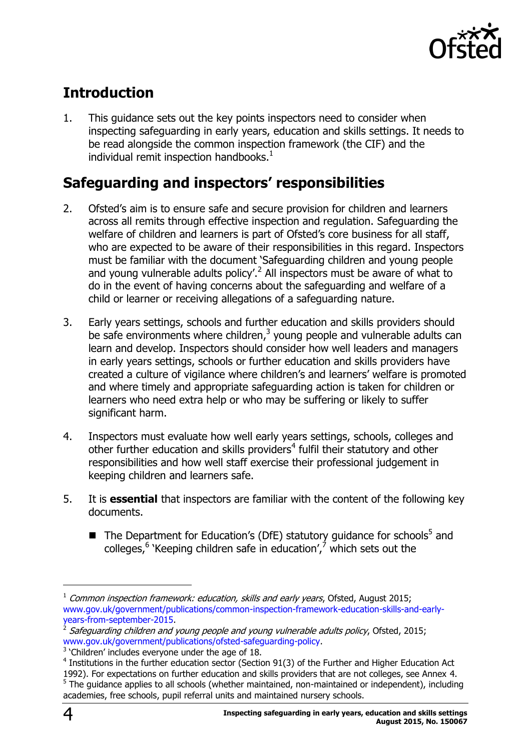

# <span id="page-3-0"></span>**Introduction**

1. This guidance sets out the key points inspectors need to consider when inspecting safeguarding in early years, education and skills settings. It needs to be read alongside the common inspection framework (the CIF) and the individual remit inspection handbooks. $<sup>1</sup>$ </sup>

# <span id="page-3-1"></span>**Safeguarding and inspectors' responsibilities**

- 2. Ofsted's aim is to ensure safe and secure provision for children and learners across all remits through effective inspection and regulation. Safeguarding the welfare of children and learners is part of Ofsted's core business for all staff, who are expected to be aware of their responsibilities in this regard. Inspectors must be familiar with the document 'Safeguarding children and young people and young vulnerable adults policy'.<sup>2</sup> All inspectors must be aware of what to do in the event of having concerns about the safeguarding and welfare of a child or learner or receiving allegations of a safeguarding nature.
- 3. Early years settings, schools and further education and skills providers should be safe environments where children, $3$  young people and vulnerable adults can learn and develop. Inspectors should consider how well leaders and managers in early years settings, schools or further education and skills providers have created a culture of vigilance where children's and learners' welfare is promoted and where timely and appropriate safeguarding action is taken for children or learners who need extra help or who may be suffering or likely to suffer significant harm.
- 4. Inspectors must evaluate how well early years settings, schools, colleges and other further education and skills providers<sup>4</sup> fulfil their statutory and other responsibilities and how well staff exercise their professional judgement in keeping children and learners safe.
- 5. It is **essential** that inspectors are familiar with the content of the following key documents.
	- $\blacksquare$  The Department for Education's (DfE) statutory guidance for schools<sup>5</sup> and colleges,<sup>6</sup> 'Keeping children safe in education', which sets out the

 $1$  Common inspection framework: education, skills and early years, Ofsted, August 2015; [www.gov.uk/government/publications/common-inspection-framework-education-skills-and-early](http://www.gov.uk/government/publications/common-inspection-framework-education-skills-and-early-years-from-september-2015)[years-from-september-2015.](http://www.gov.uk/government/publications/common-inspection-framework-education-skills-and-early-years-from-september-2015)

<sup>2</sup> Safeguarding children and young people and young vulnerable adults policy, Ofsted, 2015; [www.gov.uk/government/publications/ofsted-safeguarding-policy.](https://www.gov.uk/government/publications/ofsted-safeguarding-policy)

 $3$  'Children' includes everyone under the age of 18.

 $4$  Institutions in the further education sector (Section 91(3) of the Further and Higher Education Act 1992). For expectations on further education and skills providers that are not colleges, see Annex 4.  $<sup>5</sup>$  The guidance applies to all schools (whether maintained, non-maintained or independent), including</sup> academies, free schools, pupil referral units and maintained nursery schools.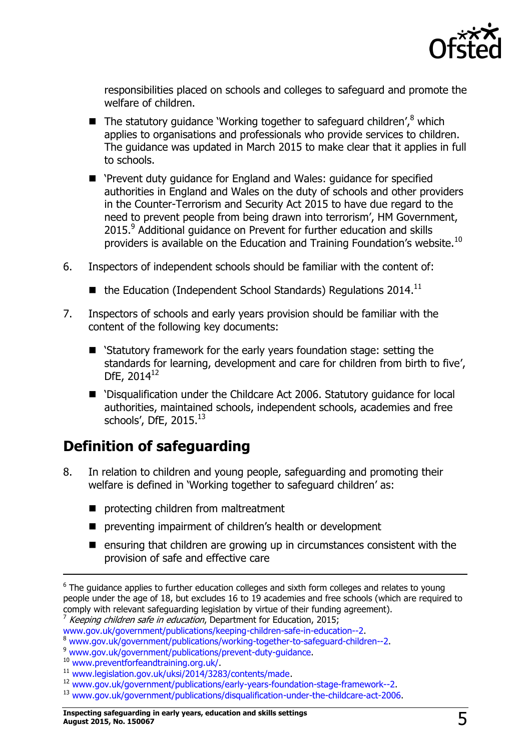

responsibilities placed on schools and colleges to safeguard and promote the welfare of children.

- $\blacksquare$  The statutory guidance 'Working together to safeguard children',  $\delta$  which applies to organisations and professionals who provide services to children. The guidance was updated in March 2015 to make clear that it applies in full to schools.
- 'Prevent duty guidance for England and Wales: guidance for specified authorities in England and Wales on the duty of schools and other providers in the Counter-Terrorism and Security Act 2015 to have due regard to the need to prevent people from being drawn into terrorism', HM Government, 2015.<sup>9</sup> Additional guidance on Prevent for further education and skills providers is available on the Education and Training Foundation's website.<sup>10</sup>
- 6. Inspectors of independent schools should be familiar with the content of:
	- $\blacksquare$  the Education (Independent School Standards) Regulations 2014.<sup>11</sup>
- 7. Inspectors of schools and early years provision should be familiar with the content of the following key documents:
	- 'Statutory framework for the early years foundation stage: setting the standards for learning, development and care for children from birth to five', DfE, 2014<sup>12</sup>
	- 'Disqualification under the Childcare Act 2006. Statutory guidance for local authorities, maintained schools, independent schools, academies and free schools', DfE,  $2015.<sup>13</sup>$

### <span id="page-4-0"></span>**Definition of safeguarding**

- 8. In relation to children and young people, safeguarding and promoting their welfare is defined in 'Working together to safeguard children' as:
	- protecting children from maltreatment
	- **P** preventing impairment of children's health or development
	- $\blacksquare$  ensuring that children are growing up in circumstances consistent with the provision of safe and effective care

-

 $6$  The guidance applies to further education colleges and sixth form colleges and relates to young people under the age of 18, but excludes 16 to 19 academies and free schools (which are required to comply with relevant safeguarding legislation by virtue of their funding agreement).

<sup>&</sup>lt;sup>7</sup> Keeping children safe in education, Department for Education, 2015;

[www.gov.uk/government/publications/keeping-children-safe-in-education--2.](http://www.gov.uk/government/publications/keeping-children-safe-in-education--2)

<sup>8</sup> [www.gov.uk/government/publications/working-together-to-safeguard-children--2.](http://www.gov.uk/government/publications/working-together-to-safeguard-children--2)

<sup>9</sup> [www.gov.uk/government/publications/prevent-duty-guidance.](http://www.gov.uk/government/publications/prevent-duty-guidance)

<sup>10</sup> [www.preventforfeandtraining.org.uk/.](http://www.preventforfeandtraining.org.uk/)

<sup>11</sup> [www.legislation.gov.uk/uksi/2014/3283/contents/made.](http://www.legislation.gov.uk/uksi/2014/3283/contents/made)

<sup>12</sup> [www.gov.uk/government/publications/early-years-foundation-stage-framework--2.](http://www.gov.uk/government/publications/early-years-foundation-stage-framework--2)

<sup>13</sup> [www.gov.uk/government/publications/disqualification-under-the-childcare-act-2006.](https://www.gov.uk/government/publications/disqualification-under-the-childcare-act-2006)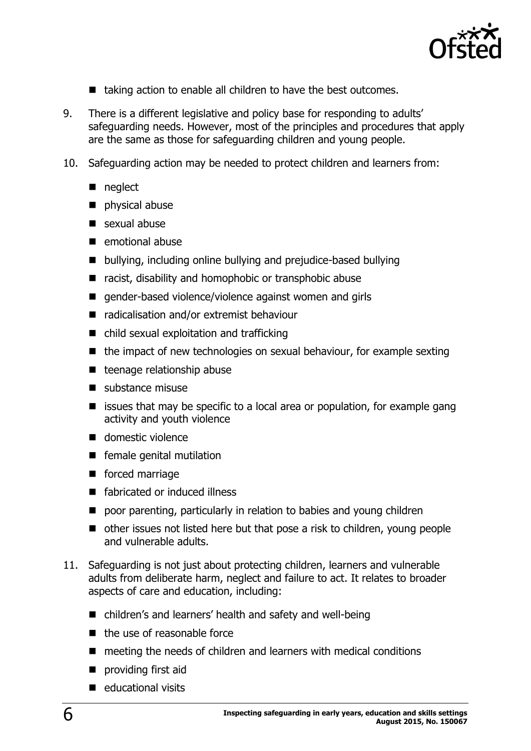

- $\blacksquare$  taking action to enable all children to have the best outcomes.
- 9. There is a different legislative and policy base for responding to adults' safeguarding needs. However, most of the principles and procedures that apply are the same as those for safeguarding children and young people.
- 10. Safeguarding action may be needed to protect children and learners from:
	- neglect
	- physical abuse
	- sexual abuse
	- $\blacksquare$  emotional abuse
	- bullying, including online bullying and prejudice-based bullying
	- racist, disability and homophobic or transphobic abuse
	- gender-based violence/violence against women and girls
	- radicalisation and/or extremist behaviour
	- child sexual exploitation and trafficking
	- $\blacksquare$  the impact of new technologies on sexual behaviour, for example sexting
	- $\blacksquare$  teenage relationship abuse
	- $\blacksquare$  substance misuse
	- $\blacksquare$  issues that may be specific to a local area or population, for example gang activity and youth violence
	- domestic violence
	- **F** female genital mutilation
	- **forced marriage**
	- fabricated or induced illness
	- poor parenting, particularly in relation to babies and young children
	- other issues not listed here but that pose a risk to children, young people and vulnerable adults.
- 11. Safeguarding is not just about protecting children, learners and vulnerable adults from deliberate harm, neglect and failure to act. It relates to broader aspects of care and education, including:
	- children's and learners' health and safety and well-being
	- $\blacksquare$  the use of reasonable force
	- $\blacksquare$  meeting the needs of children and learners with medical conditions
	- **providing first aid**
	- $\blacksquare$  educational visits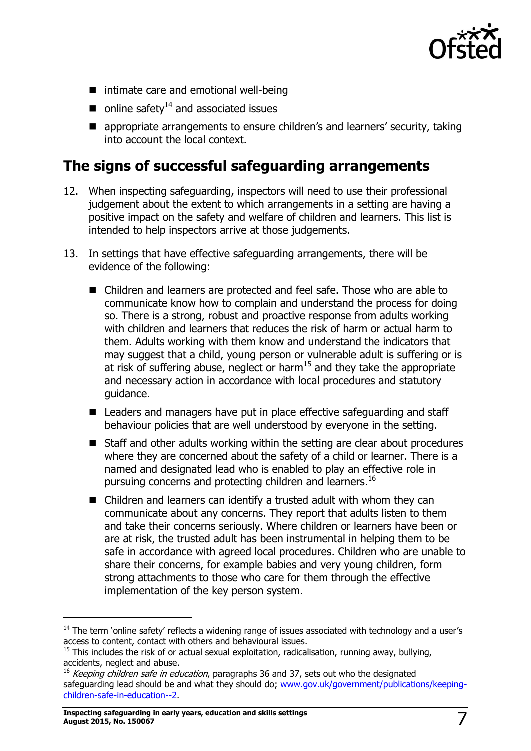

- intimate care and emotional well-being
- $\blacksquare$  online safety<sup>14</sup> and associated issues
- **E** appropriate arrangements to ensure children's and learners' security, taking into account the local context.

### <span id="page-6-0"></span>**The signs of successful safeguarding arrangements**

- 12. When inspecting safeguarding, inspectors will need to use their professional judgement about the extent to which arrangements in a setting are having a positive impact on the safety and welfare of children and learners. This list is intended to help inspectors arrive at those judgements.
- 13. In settings that have effective safeguarding arrangements, there will be evidence of the following:
	- Children and learners are protected and feel safe. Those who are able to communicate know how to complain and understand the process for doing so. There is a strong, robust and proactive response from adults working with children and learners that reduces the risk of harm or actual harm to them. Adults working with them know and understand the indicators that may suggest that a child, young person or vulnerable adult is suffering or is at risk of suffering abuse, neglect or harm<sup>15</sup> and they take the appropriate and necessary action in accordance with local procedures and statutory guidance.
	- Leaders and managers have put in place effective safeguarding and staff behaviour policies that are well understood by everyone in the setting.
	- Staff and other adults working within the setting are clear about procedures where they are concerned about the safety of a child or learner. There is a named and designated lead who is enabled to play an effective role in pursuing concerns and protecting children and learners.<sup>16</sup>
	- Children and learners can identify a trusted adult with whom they can communicate about any concerns. They report that adults listen to them and take their concerns seriously. Where children or learners have been or are at risk, the trusted adult has been instrumental in helping them to be safe in accordance with agreed local procedures. Children who are unable to share their concerns, for example babies and very young children, form strong attachments to those who care for them through the effective implementation of the key person system.

-

<sup>&</sup>lt;sup>14</sup> The term 'online safety' reflects a widening range of issues associated with technology and a user's access to content, contact with others and behavioural issues.

 $<sup>15</sup>$  This includes the risk of or actual sexual exploitation, radicalisation, running away, bullying,</sup> accidents, neglect and abuse.

 $16$  Keeping children safe in education, paragraphs 36 and 37, sets out who the designated safeguarding lead should be and what they should do; [www.gov.uk/government/publications/keeping](http://www.gov.uk/government/publications/keeping-children-safe-in-education--2)[children-safe-in-education--2.](http://www.gov.uk/government/publications/keeping-children-safe-in-education--2)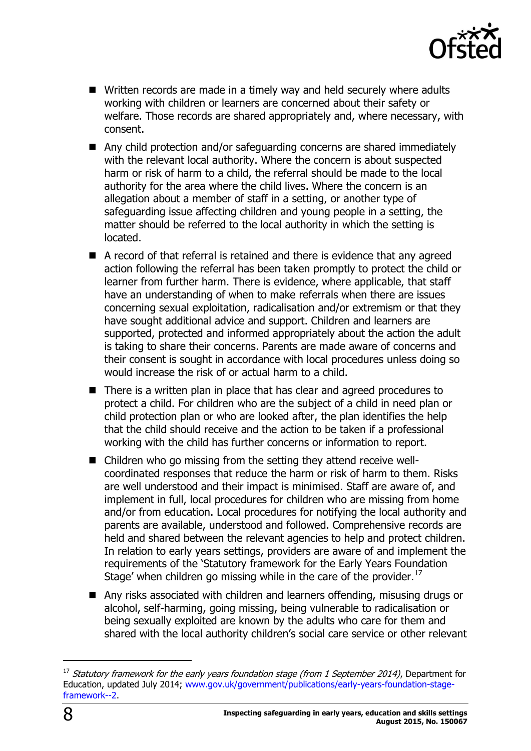

- Written records are made in a timely way and held securely where adults working with children or learners are concerned about their safety or welfare. Those records are shared appropriately and, where necessary, with consent.
- Any child protection and/or safeguarding concerns are shared immediately with the relevant local authority. Where the concern is about suspected harm or risk of harm to a child, the referral should be made to the local authority for the area where the child lives. Where the concern is an allegation about a member of staff in a setting, or another type of safeguarding issue affecting children and young people in a setting, the matter should be referred to the local authority in which the setting is located.
- A record of that referral is retained and there is evidence that any agreed action following the referral has been taken promptly to protect the child or learner from further harm. There is evidence, where applicable, that staff have an understanding of when to make referrals when there are issues concerning sexual exploitation, radicalisation and/or extremism or that they have sought additional advice and support. Children and learners are supported, protected and informed appropriately about the action the adult is taking to share their concerns. Parents are made aware of concerns and their consent is sought in accordance with local procedures unless doing so would increase the risk of or actual harm to a child.
- There is a written plan in place that has clear and agreed procedures to protect a child. For children who are the subject of a child in need plan or child protection plan or who are looked after, the plan identifies the help that the child should receive and the action to be taken if a professional working with the child has further concerns or information to report.
- Children who go missing from the setting they attend receive wellcoordinated responses that reduce the harm or risk of harm to them. Risks are well understood and their impact is minimised. Staff are aware of, and implement in full, local procedures for children who are missing from home and/or from education. Local procedures for notifying the local authority and parents are available, understood and followed. Comprehensive records are held and shared between the relevant agencies to help and protect children. In relation to early years settings, providers are aware of and implement the requirements of the 'Statutory framework for the Early Years Foundation Stage' when children go missing while in the care of the provider. $^{17}$
- Any risks associated with children and learners offending, misusing drugs or alcohol, self-harming, going missing, being vulnerable to radicalisation or being sexually exploited are known by the adults who care for them and shared with the local authority children's social care service or other relevant

 $\overline{a}$ 

 $17$  Statutory framework for the early years foundation stage (from 1 September 2014), Department for Education, updated July 2014; [www.gov.uk/government/publications/early-years-foundation-stage](http://www.gov.uk/government/publications/early-years-foundation-stage-framework--2)[framework--2.](http://www.gov.uk/government/publications/early-years-foundation-stage-framework--2)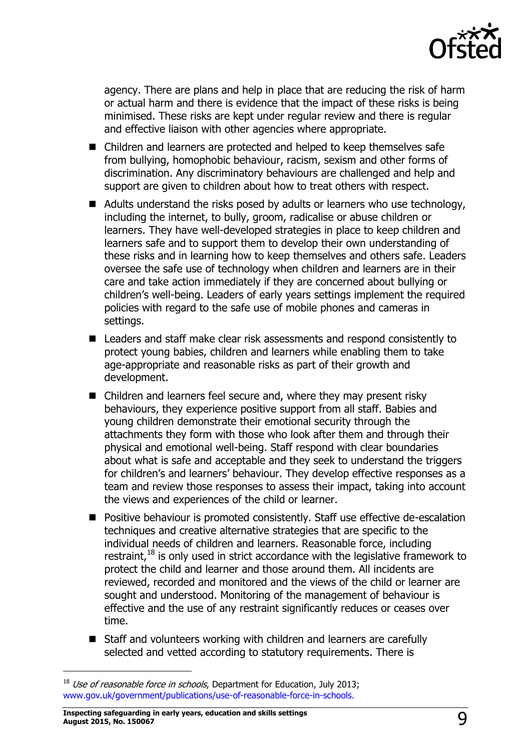

agency. There are plans and help in place that are reducing the risk of harm or actual harm and there is evidence that the impact of these risks is being minimised. These risks are kept under regular review and there is regular and effective liaison with other agencies where appropriate.

- Children and learners are protected and helped to keep themselves safe from bullying, homophobic behaviour, racism, sexism and other forms of discrimination. Any discriminatory behaviours are challenged and help and support are given to children about how to treat others with respect.
- Adults understand the risks posed by adults or learners who use technology, including the internet, to bully, groom, radicalise or abuse children or learners. They have well-developed strategies in place to keep children and learners safe and to support them to develop their own understanding of these risks and in learning how to keep themselves and others safe. Leaders oversee the safe use of technology when children and learners are in their care and take action immediately if they are concerned about bullying or children's well-being. Leaders of early years settings implement the required policies with regard to the safe use of mobile phones and cameras in settings.
- Leaders and staff make clear risk assessments and respond consistently to protect young babies, children and learners while enabling them to take age-appropriate and reasonable risks as part of their growth and development.
- Children and learners feel secure and, where they may present risky behaviours, they experience positive support from all staff. Babies and young children demonstrate their emotional security through the attachments they form with those who look after them and through their physical and emotional well-being. Staff respond with clear boundaries about what is safe and acceptable and they seek to understand the triggers for children's and learners' behaviour. They develop effective responses as a team and review those responses to assess their impact, taking into account the views and experiences of the child or learner.
- **Positive behaviour is promoted consistently. Staff use effective de-escalation** techniques and creative alternative strategies that are specific to the individual needs of children and learners. Reasonable force, including restraint,  $18$  is only used in strict accordance with the legislative framework to protect the child and learner and those around them. All incidents are reviewed, recorded and monitored and the views of the child or learner are sought and understood. Monitoring of the management of behaviour is effective and the use of any restraint significantly reduces or ceases over time.
- Staff and volunteers working with children and learners are carefully selected and vetted according to statutory requirements. There is

 $18$  Use of reasonable force in schools, Department for Education, July 2013; [www.gov.uk/government/publications/use-of-reasonable-force-in-schools.](http://www.gov.uk/government/publications/use-of-reasonable-force-in-schools)

**Inspecting safeguarding in early years, education and skills settings August 2015, No. 150067** 9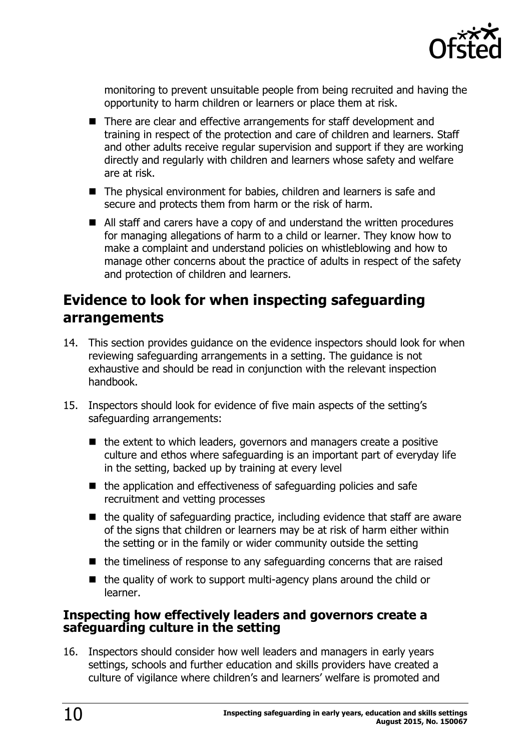

monitoring to prevent unsuitable people from being recruited and having the opportunity to harm children or learners or place them at risk.

- There are clear and effective arrangements for staff development and training in respect of the protection and care of children and learners. Staff and other adults receive regular supervision and support if they are working directly and regularly with children and learners whose safety and welfare are at risk.
- The physical environment for babies, children and learners is safe and secure and protects them from harm or the risk of harm.
- All staff and carers have a copy of and understand the written procedures for managing allegations of harm to a child or learner. They know how to make a complaint and understand policies on whistleblowing and how to manage other concerns about the practice of adults in respect of the safety and protection of children and learners.

### <span id="page-9-0"></span>**Evidence to look for when inspecting safeguarding arrangements**

- 14. This section provides guidance on the evidence inspectors should look for when reviewing safeguarding arrangements in a setting. The guidance is not exhaustive and should be read in conjunction with the relevant inspection handbook.
- 15. Inspectors should look for evidence of five main aspects of the setting's safeguarding arrangements:
	- $\blacksquare$  the extent to which leaders, governors and managers create a positive culture and ethos where safeguarding is an important part of everyday life in the setting, backed up by training at every level
	- $\blacksquare$  the application and effectiveness of safeguarding policies and safe recruitment and vetting processes
	- $\blacksquare$  the quality of safeguarding practice, including evidence that staff are aware of the signs that children or learners may be at risk of harm either within the setting or in the family or wider community outside the setting
	- $\blacksquare$  the timeliness of response to any safeguarding concerns that are raised
	- $\blacksquare$  the quality of work to support multi-agency plans around the child or learner.

#### <span id="page-9-1"></span>**Inspecting how effectively leaders and governors create a safeguarding culture in the setting**

16. Inspectors should consider how well leaders and managers in early years settings, schools and further education and skills providers have created a culture of vigilance where children's and learners' welfare is promoted and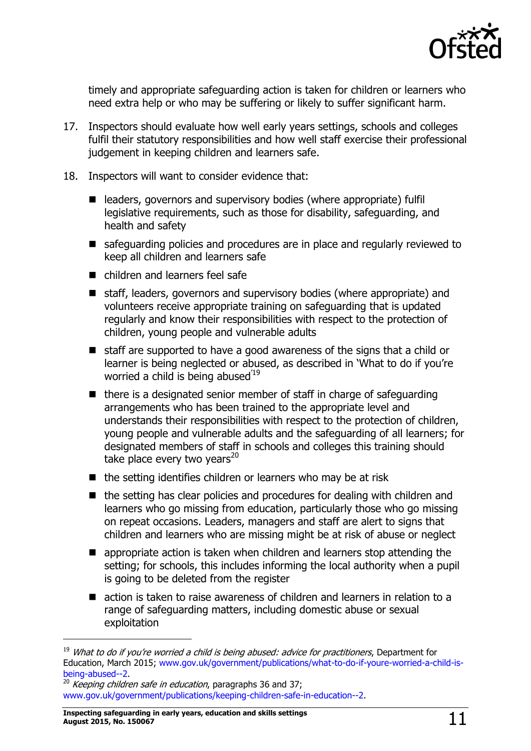

timely and appropriate safeguarding action is taken for children or learners who need extra help or who may be suffering or likely to suffer significant harm.

- 17. Inspectors should evaluate how well early years settings, schools and colleges fulfil their statutory responsibilities and how well staff exercise their professional judgement in keeping children and learners safe.
- 18. Inspectors will want to consider evidence that:
	- $\blacksquare$  leaders, governors and supervisory bodies (where appropriate) fulfil legislative requirements, such as those for disability, safeguarding, and health and safety
	- safeguarding policies and procedures are in place and regularly reviewed to keep all children and learners safe
	- children and learners feel safe
	- staff, leaders, governors and supervisory bodies (where appropriate) and volunteers receive appropriate training on safeguarding that is updated regularly and know their responsibilities with respect to the protection of children, young people and vulnerable adults
	- staff are supported to have a good awareness of the signs that a child or learner is being neglected or abused, as described in 'What to do if you're worried a child is being abused<sup>'19</sup>
	- $\blacksquare$  there is a designated senior member of staff in charge of safeguarding arrangements who has been trained to the appropriate level and understands their responsibilities with respect to the protection of children, young people and vulnerable adults and the safeguarding of all learners; for designated members of staff in schools and colleges this training should take place every two years $^{20}$
	- $\blacksquare$  the setting identifies children or learners who may be at risk
	- the setting has clear policies and procedures for dealing with children and learners who go missing from education, particularly those who go missing on repeat occasions. Leaders, managers and staff are alert to signs that children and learners who are missing might be at risk of abuse or neglect
	- **E** appropriate action is taken when children and learners stop attending the setting; for schools, this includes informing the local authority when a pupil is going to be deleted from the register
	- action is taken to raise awareness of children and learners in relation to a range of safeguarding matters, including domestic abuse or sexual exploitation

 $19$  What to do if you're worried a child is being abused: advice for practitioners, Department for Education, March 2015; [www.gov.uk/government/publications/what-to-do-if-youre-worried-a-child-is](http://www.gov.uk/government/publications/what-to-do-if-youre-worried-a-child-is-being-abused--2)[being-abused--2.](http://www.gov.uk/government/publications/what-to-do-if-youre-worried-a-child-is-being-abused--2)

 $\frac{20}{20}$  Keeping children safe in education, paragraphs 36 and 37; [www.gov.uk/government/publications/keeping-children-safe-in-education--2.](http://www.gov.uk/government/publications/keeping-children-safe-in-education--2)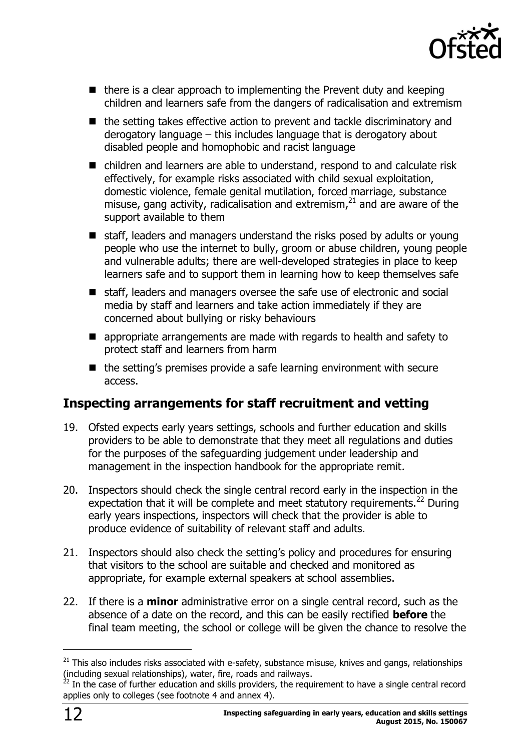

- $\blacksquare$  there is a clear approach to implementing the Prevent duty and keeping children and learners safe from the dangers of radicalisation and extremism
- the setting takes effective action to prevent and tackle discriminatory and derogatory language – this includes language that is derogatory about disabled people and homophobic and racist language
- children and learners are able to understand, respond to and calculate risk effectively, for example risks associated with child sexual exploitation, domestic violence, female genital mutilation, forced marriage, substance misuse, gang activity, radicalisation and extremism, $^{21}$  and are aware of the support available to them
- staff, leaders and managers understand the risks posed by adults or young people who use the internet to bully, groom or abuse children, young people and vulnerable adults; there are well-developed strategies in place to keep learners safe and to support them in learning how to keep themselves safe
- staff, leaders and managers oversee the safe use of electronic and social media by staff and learners and take action immediately if they are concerned about bullying or risky behaviours
- **E** appropriate arrangements are made with regards to health and safety to protect staff and learners from harm
- $\blacksquare$  the setting's premises provide a safe learning environment with secure access.

### <span id="page-11-0"></span>**Inspecting arrangements for staff recruitment and vetting**

- 19. Ofsted expects early years settings, schools and further education and skills providers to be able to demonstrate that they meet all regulations and duties for the purposes of the safeguarding judgement under leadership and management in the inspection handbook for the appropriate remit.
- 20. Inspectors should check the single central record early in the inspection in the expectation that it will be complete and meet statutory requirements. $^{22}$  During early years inspections, inspectors will check that the provider is able to produce evidence of suitability of relevant staff and adults.
- 21. Inspectors should also check the setting's policy and procedures for ensuring that visitors to the school are suitable and checked and monitored as appropriate, for example external speakers at school assemblies.
- 22. If there is a **minor** administrative error on a single central record, such as the absence of a date on the record, and this can be easily rectified **before** the final team meeting, the school or college will be given the chance to resolve the

 $21$  This also includes risks associated with e-safety, substance misuse, knives and gangs, relationships (including sexual relationships), water, fire, roads and railways.

 $^{22}$  In the case of further education and skills providers, the requirement to have a single central record applies only to colleges (see footnote 4 and annex 4).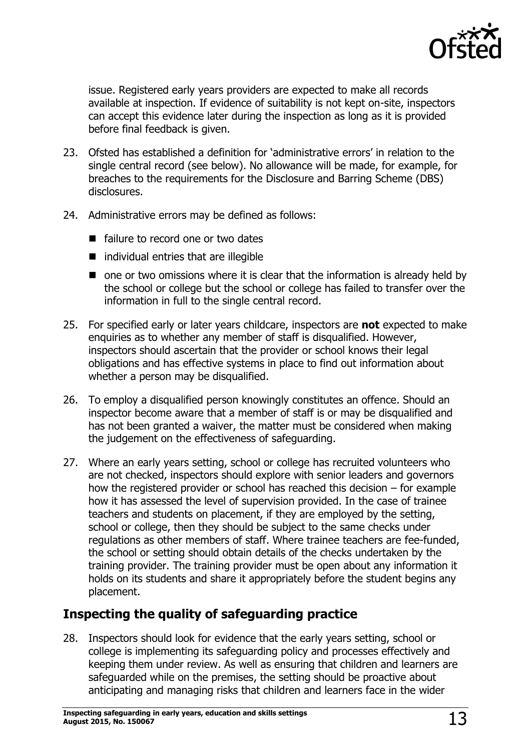

issue. Registered early years providers are expected to make all records available at inspection. If evidence of suitability is not kept on-site, inspectors can accept this evidence later during the inspection as long as it is provided before final feedback is given.

- 23. Ofsted has established a definition for 'administrative errors' in relation to the single central record (see below). No allowance will be made, for example, for breaches to the requirements for the Disclosure and Barring Scheme (DBS) disclosures.
- 24. Administrative errors may be defined as follows:
	- failure to record one or two dates
	- $\blacksquare$  individual entries that are illegible
	- $\blacksquare$  one or two omissions where it is clear that the information is already held by the school or college but the school or college has failed to transfer over the information in full to the single central record.
- 25. For specified early or later years childcare, inspectors are **not** expected to make enquiries as to whether any member of staff is disqualified. However, inspectors should ascertain that the provider or school knows their legal obligations and has effective systems in place to find out information about whether a person may be disqualified.
- 26. To employ a disqualified person knowingly constitutes an offence. Should an inspector become aware that a member of staff is or may be disqualified and has not been granted a waiver, the matter must be considered when making the judgement on the effectiveness of safeguarding.
- 27. Where an early years setting, school or college has recruited volunteers who are not checked, inspectors should explore with senior leaders and governors how the registered provider or school has reached this decision – for example how it has assessed the level of supervision provided. In the case of trainee teachers and students on placement, if they are employed by the setting, school or college, then they should be subject to the same checks under regulations as other members of staff. Where trainee teachers are fee-funded, the school or setting should obtain details of the checks undertaken by the training provider. The training provider must be open about any information it holds on its students and share it appropriately before the student begins any placement.

### <span id="page-12-0"></span>**Inspecting the quality of safeguarding practice**

28. Inspectors should look for evidence that the early years setting, school or college is implementing its safeguarding policy and processes effectively and keeping them under review. As well as ensuring that children and learners are safeguarded while on the premises, the setting should be proactive about anticipating and managing risks that children and learners face in the wider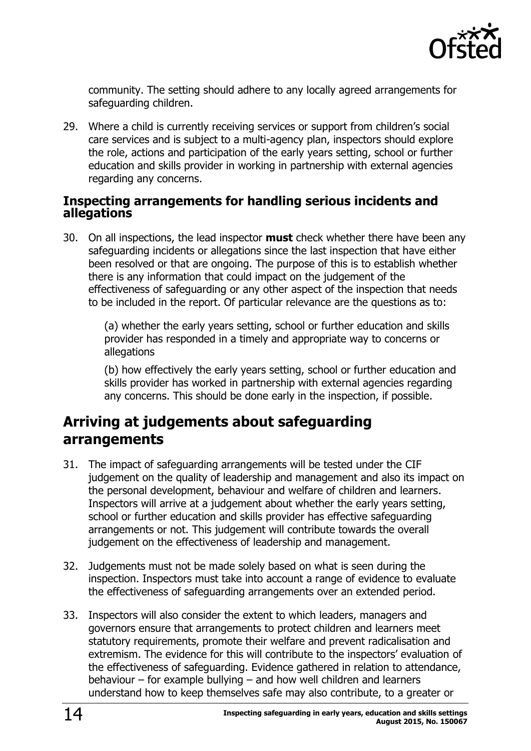

community. The setting should adhere to any locally agreed arrangements for safeguarding children.

29. Where a child is currently receiving services or support from children's social care services and is subject to a multi-agency plan, inspectors should explore the role, actions and participation of the early years setting, school or further education and skills provider in working in partnership with external agencies regarding any concerns.

#### <span id="page-13-0"></span>**Inspecting arrangements for handling serious incidents and allegations**

30. On all inspections, the lead inspector **must** check whether there have been any safeguarding incidents or allegations since the last inspection that have either been resolved or that are ongoing. The purpose of this is to establish whether there is any information that could impact on the judgement of the effectiveness of safeguarding or any other aspect of the inspection that needs to be included in the report. Of particular relevance are the questions as to:

> (a) whether the early years setting, school or further education and skills provider has responded in a timely and appropriate way to concerns or allegations

(b) how effectively the early years setting, school or further education and skills provider has worked in partnership with external agencies regarding any concerns. This should be done early in the inspection, if possible.

### <span id="page-13-1"></span>**Arriving at judgements about safeguarding arrangements**

- 31. The impact of safeguarding arrangements will be tested under the CIF judgement on the quality of leadership and management and also its impact on the personal development, behaviour and welfare of children and learners. Inspectors will arrive at a judgement about whether the early years setting, school or further education and skills provider has effective safeguarding arrangements or not. This judgement will contribute towards the overall judgement on the effectiveness of leadership and management.
- 32. Judgements must not be made solely based on what is seen during the inspection. Inspectors must take into account a range of evidence to evaluate the effectiveness of safeguarding arrangements over an extended period.
- 33. Inspectors will also consider the extent to which leaders, managers and governors ensure that arrangements to protect children and learners meet statutory requirements, promote their welfare and prevent radicalisation and extremism. The evidence for this will contribute to the inspectors' evaluation of the effectiveness of safeguarding. Evidence gathered in relation to attendance, behaviour – for example bullying – and how well children and learners understand how to keep themselves safe may also contribute, to a greater or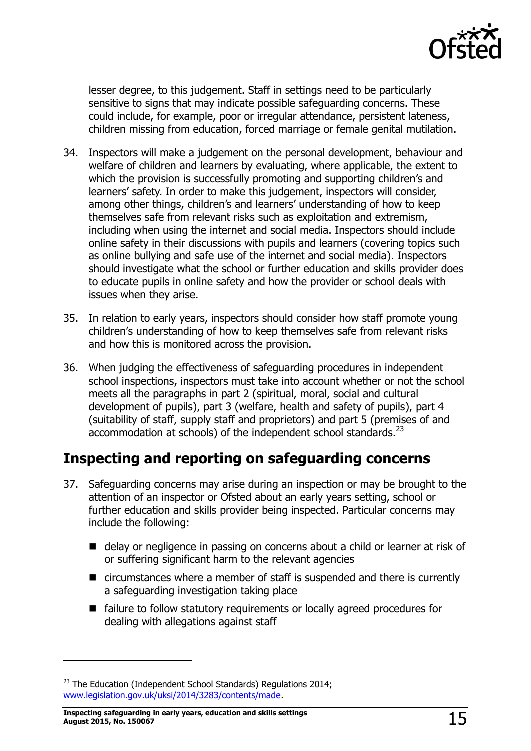

lesser degree, to this judgement. Staff in settings need to be particularly sensitive to signs that may indicate possible safeguarding concerns. These could include, for example, poor or irregular attendance, persistent lateness, children missing from education, forced marriage or female genital mutilation.

- 34. Inspectors will make a judgement on the personal development, behaviour and welfare of children and learners by evaluating, where applicable, the extent to which the provision is successfully promoting and supporting children's and learners' safety. In order to make this judgement, inspectors will consider, among other things, children's and learners' understanding of how to keep themselves safe from relevant risks such as exploitation and extremism, including when using the internet and social media. Inspectors should include online safety in their discussions with pupils and learners (covering topics such as online bullying and safe use of the internet and social media). Inspectors should investigate what the school or further education and skills provider does to educate pupils in online safety and how the provider or school deals with issues when they arise.
- 35. In relation to early years, inspectors should consider how staff promote young children's understanding of how to keep themselves safe from relevant risks and how this is monitored across the provision.
- 36. When judging the effectiveness of safeguarding procedures in independent school inspections, inspectors must take into account whether or not the school meets all the paragraphs in part 2 (spiritual, moral, social and cultural development of pupils), part 3 (welfare, health and safety of pupils), part 4 (suitability of staff, supply staff and proprietors) and part 5 (premises of and accommodation at schools) of the independent school standards.<sup>23</sup>

### <span id="page-14-0"></span>**Inspecting and reporting on safeguarding concerns**

- 37. Safeguarding concerns may arise during an inspection or may be brought to the attention of an inspector or Ofsted about an early years setting, school or further education and skills provider being inspected. Particular concerns may include the following:
	- delay or negligence in passing on concerns about a child or learner at risk of or suffering significant harm to the relevant agencies
	- circumstances where a member of staff is suspended and there is currently a safeguarding investigation taking place
	- failure to follow statutory requirements or locally agreed procedures for dealing with allegations against staff

 $\overline{a}$ 

 $23$  The Education (Independent School Standards) Regulations 2014; [www.legislation.gov.uk/uksi/2014/3283/contents/made.](http://www.legislation.gov.uk/uksi/2014/3283/contents/made)

**Inspecting safeguarding in early years, education and skills settings August 2015, No. 150067** 15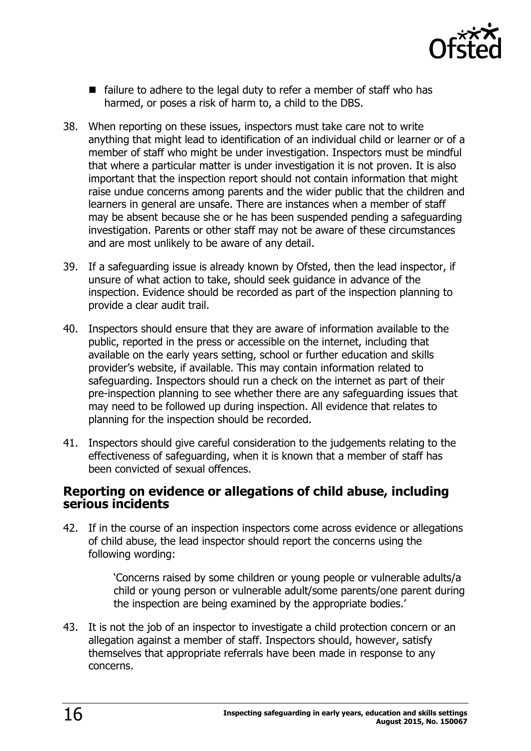

- $\blacksquare$  failure to adhere to the legal duty to refer a member of staff who has harmed, or poses a risk of harm to, a child to the DBS.
- 38. When reporting on these issues, inspectors must take care not to write anything that might lead to identification of an individual child or learner or of a member of staff who might be under investigation. Inspectors must be mindful that where a particular matter is under investigation it is not proven. It is also important that the inspection report should not contain information that might raise undue concerns among parents and the wider public that the children and learners in general are unsafe. There are instances when a member of staff may be absent because she or he has been suspended pending a safeguarding investigation. Parents or other staff may not be aware of these circumstances and are most unlikely to be aware of any detail.
- 39. If a safeguarding issue is already known by Ofsted, then the lead inspector, if unsure of what action to take, should seek guidance in advance of the inspection. Evidence should be recorded as part of the inspection planning to provide a clear audit trail.
- 40. Inspectors should ensure that they are aware of information available to the public, reported in the press or accessible on the internet, including that available on the early years setting, school or further education and skills provider's website, if available. This may contain information related to safeguarding. Inspectors should run a check on the internet as part of their pre-inspection planning to see whether there are any safeguarding issues that may need to be followed up during inspection. All evidence that relates to planning for the inspection should be recorded.
- 41. Inspectors should give careful consideration to the judgements relating to the effectiveness of safeguarding, when it is known that a member of staff has been convicted of sexual offences.

#### <span id="page-15-0"></span>**Reporting on evidence or allegations of child abuse, including serious incidents**

42. If in the course of an inspection inspectors come across evidence or allegations of child abuse, the lead inspector should report the concerns using the following wording:

> 'Concerns raised by some children or young people or vulnerable adults/a child or young person or vulnerable adult/some parents/one parent during the inspection are being examined by the appropriate bodies.'

43. It is not the job of an inspector to investigate a child protection concern or an allegation against a member of staff. Inspectors should, however, satisfy themselves that appropriate referrals have been made in response to any concerns.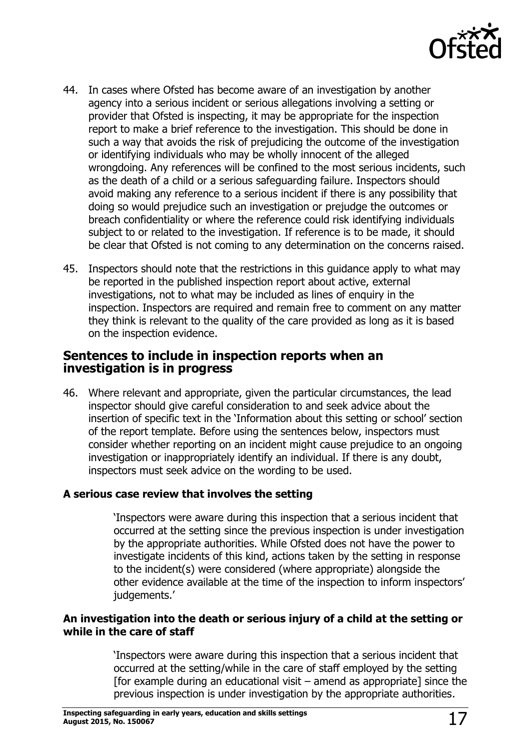

- 44. In cases where Ofsted has become aware of an investigation by another agency into a serious incident or serious allegations involving a setting or provider that Ofsted is inspecting, it may be appropriate for the inspection report to make a brief reference to the investigation. This should be done in such a way that avoids the risk of prejudicing the outcome of the investigation or identifying individuals who may be wholly innocent of the alleged wrongdoing. Any references will be confined to the most serious incidents, such as the death of a child or a serious safeguarding failure. Inspectors should avoid making any reference to a serious incident if there is any possibility that doing so would prejudice such an investigation or prejudge the outcomes or breach confidentiality or where the reference could risk identifying individuals subject to or related to the investigation. If reference is to be made, it should be clear that Ofsted is not coming to any determination on the concerns raised.
- 45. Inspectors should note that the restrictions in this guidance apply to what may be reported in the published inspection report about active, external investigations, not to what may be included as lines of enquiry in the inspection. Inspectors are required and remain free to comment on any matter they think is relevant to the quality of the care provided as long as it is based on the inspection evidence.

#### <span id="page-16-0"></span>**Sentences to include in inspection reports when an investigation is in progress**

46. Where relevant and appropriate, given the particular circumstances, the lead inspector should give careful consideration to and seek advice about the insertion of specific text in the 'Information about this setting or school' section of the report template. Before using the sentences below, inspectors must consider whether reporting on an incident might cause prejudice to an ongoing investigation or inappropriately identify an individual. If there is any doubt, inspectors must seek advice on the wording to be used.

#### **A serious case review that involves the setting**

'Inspectors were aware during this inspection that a serious incident that occurred at the setting since the previous inspection is under investigation by the appropriate authorities. While Ofsted does not have the power to investigate incidents of this kind, actions taken by the setting in response to the incident(s) were considered (where appropriate) alongside the other evidence available at the time of the inspection to inform inspectors' judgements.'

#### **An investigation into the death or serious injury of a child at the setting or while in the care of staff**

'Inspectors were aware during this inspection that a serious incident that occurred at the setting/while in the care of staff employed by the setting [for example during an educational visit  $-$  amend as appropriate] since the previous inspection is under investigation by the appropriate authorities.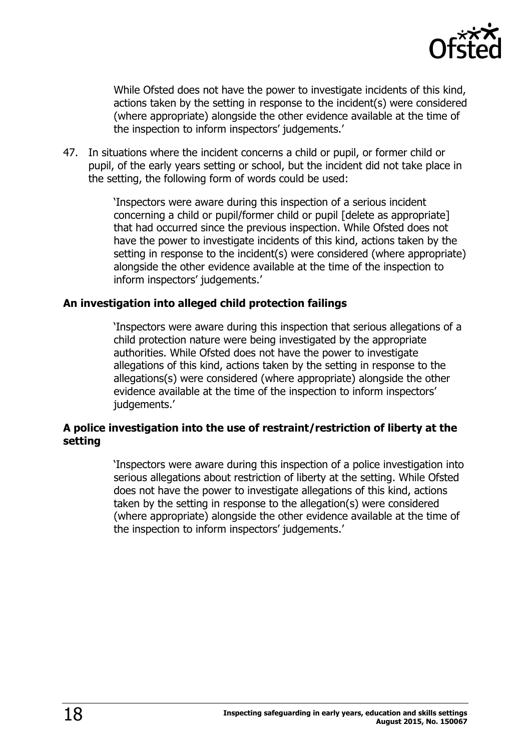

While Ofsted does not have the power to investigate incidents of this kind, actions taken by the setting in response to the incident(s) were considered (where appropriate) alongside the other evidence available at the time of the inspection to inform inspectors' judgements.'

47. In situations where the incident concerns a child or pupil, or former child or pupil, of the early years setting or school, but the incident did not take place in the setting, the following form of words could be used:

> 'Inspectors were aware during this inspection of a serious incident concerning a child or pupil/former child or pupil [delete as appropriate] that had occurred since the previous inspection. While Ofsted does not have the power to investigate incidents of this kind, actions taken by the setting in response to the incident(s) were considered (where appropriate) alongside the other evidence available at the time of the inspection to inform inspectors' judgements.'

#### **An investigation into alleged child protection failings**

'Inspectors were aware during this inspection that serious allegations of a child protection nature were being investigated by the appropriate authorities. While Ofsted does not have the power to investigate allegations of this kind, actions taken by the setting in response to the allegations(s) were considered (where appropriate) alongside the other evidence available at the time of the inspection to inform inspectors' judgements.'

#### **A police investigation into the use of restraint/restriction of liberty at the setting**

'Inspectors were aware during this inspection of a police investigation into serious allegations about restriction of liberty at the setting. While Ofsted does not have the power to investigate allegations of this kind, actions taken by the setting in response to the allegation(s) were considered (where appropriate) alongside the other evidence available at the time of the inspection to inform inspectors' judgements.'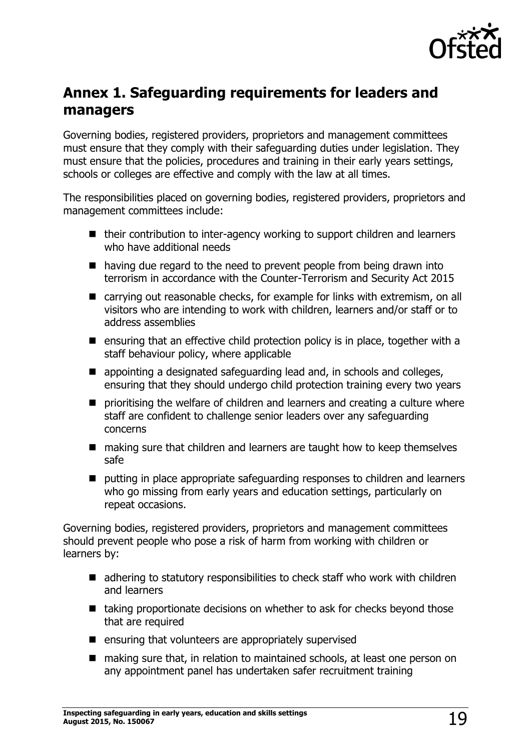

# <span id="page-18-0"></span>**Annex 1. Safeguarding requirements for leaders and managers**

Governing bodies, registered providers, proprietors and management committees must ensure that they comply with their safeguarding duties under legislation. They must ensure that the policies, procedures and training in their early years settings, schools or colleges are effective and comply with the law at all times.

The responsibilities placed on governing bodies, registered providers, proprietors and management committees include:

- their contribution to inter-agency working to support children and learners who have additional needs
- having due regard to the need to prevent people from being drawn into terrorism in accordance with the Counter-Terrorism and Security Act 2015
- carrying out reasonable checks, for example for links with extremism, on all visitors who are intending to work with children, learners and/or staff or to address assemblies
- **E** ensuring that an effective child protection policy is in place, together with a staff behaviour policy, where applicable
- appointing a designated safeguarding lead and, in schools and colleges, ensuring that they should undergo child protection training every two years
- **P** prioritising the welfare of children and learners and creating a culture where staff are confident to challenge senior leaders over any safeguarding concerns
- making sure that children and learners are taught how to keep themselves safe
- putting in place appropriate safeguarding responses to children and learners who go missing from early years and education settings, particularly on repeat occasions.

Governing bodies, registered providers, proprietors and management committees should prevent people who pose a risk of harm from working with children or learners by:

- adhering to statutory responsibilities to check staff who work with children and learners
- $\blacksquare$  taking proportionate decisions on whether to ask for checks beyond those that are required
- $\blacksquare$  ensuring that volunteers are appropriately supervised
- making sure that, in relation to maintained schools, at least one person on any appointment panel has undertaken safer recruitment training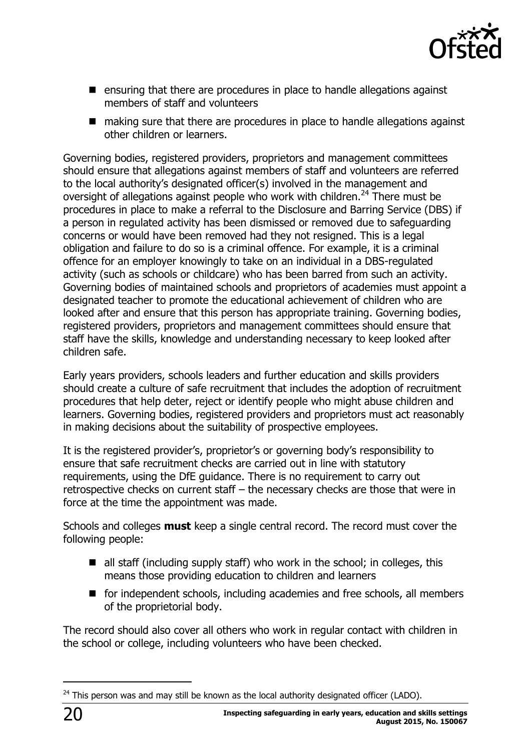

- ensuring that there are procedures in place to handle allegations against members of staff and volunteers
- making sure that there are procedures in place to handle allegations against other children or learners.

Governing bodies, registered providers, proprietors and management committees should ensure that allegations against members of staff and volunteers are referred to the local authority's designated officer(s) involved in the management and oversight of allegations against people who work with children.<sup>24</sup> There must be procedures in place to make a referral to the Disclosure and Barring Service (DBS) if a person in regulated activity has been dismissed or removed due to safeguarding concerns or would have been removed had they not resigned. This is a legal obligation and failure to do so is a criminal offence. For example, it is a criminal offence for an employer knowingly to take on an individual in a DBS-regulated activity (such as schools or childcare) who has been barred from such an activity. Governing bodies of maintained schools and proprietors of academies must appoint a designated teacher to promote the educational achievement of children who are looked after and ensure that this person has appropriate training. Governing bodies, registered providers, proprietors and management committees should ensure that staff have the skills, knowledge and understanding necessary to keep looked after children safe.

Early years providers, schools leaders and further education and skills providers should create a culture of safe recruitment that includes the adoption of recruitment procedures that help deter, reject or identify people who might abuse children and learners. Governing bodies, registered providers and proprietors must act reasonably in making decisions about the suitability of prospective employees.

It is the registered provider's, proprietor's or governing body's responsibility to ensure that safe recruitment checks are carried out in line with statutory requirements, using the DfE guidance. There is no requirement to carry out retrospective checks on current staff – the necessary checks are those that were in force at the time the appointment was made.

Schools and colleges **must** keep a single central record. The record must cover the following people:

- all staff (including supply staff) who work in the school; in colleges, this means those providing education to children and learners
- for independent schools, including academies and free schools, all members of the proprietorial body.

The record should also cover all others who work in regular contact with children in the school or college, including volunteers who have been checked.

 $24$  This person was and may still be known as the local authority designated officer (LADO).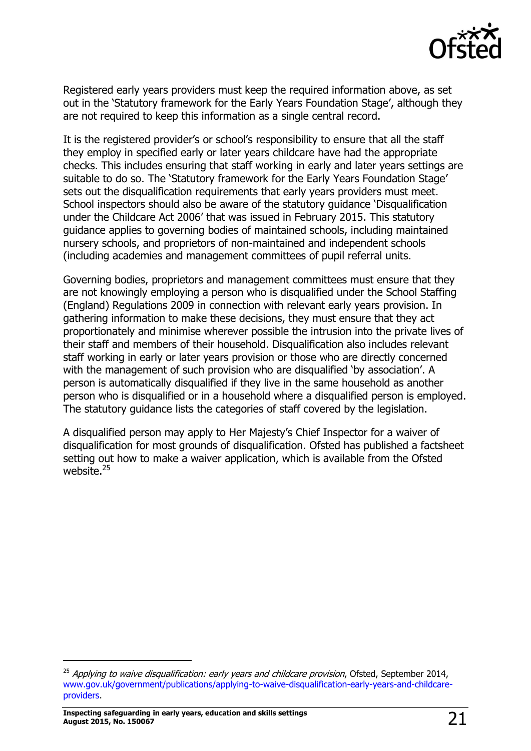

Registered early years providers must keep the required information above, as set out in the 'Statutory framework for the Early Years Foundation Stage', although they are not required to keep this information as a single central record.

It is the registered provider's or school's responsibility to ensure that all the staff they employ in specified early or later years childcare have had the appropriate checks. This includes ensuring that staff working in early and later years settings are suitable to do so. The 'Statutory framework for the Early Years Foundation Stage' sets out the disqualification requirements that early years providers must meet. School inspectors should also be aware of the statutory guidance 'Disqualification under the Childcare Act 2006' that was issued in February 2015. This statutory guidance applies to governing bodies of maintained schools, including maintained nursery schools, and proprietors of non-maintained and independent schools (including academies and management committees of pupil referral units.

Governing bodies, proprietors and management committees must ensure that they are not knowingly employing a person who is disqualified under the School Staffing (England) Regulations 2009 in connection with relevant early years provision. In gathering information to make these decisions, they must ensure that they act proportionately and minimise wherever possible the intrusion into the private lives of their staff and members of their household. Disqualification also includes relevant staff working in early or later years provision or those who are directly concerned with the management of such provision who are disqualified 'by association'. A person is automatically disqualified if they live in the same household as another person who is disqualified or in a household where a disqualified person is employed. The statutory guidance lists the categories of staff covered by the legislation.

A disqualified person may apply to Her Majesty's Chief Inspector for a waiver of disqualification for most grounds of disqualification. Ofsted has published a factsheet setting out how to make a waiver application, which is available from the Ofsted website.<sup>25</sup>

 $\overline{a}$ 

<sup>&</sup>lt;sup>25</sup> Applying to waive disqualification: early years and childcare provision, Ofsted, September 2014, [www.gov.uk/government/publications/applying-to-waive-disqualification-early-years-and-childcare](https://www.gov.uk/government/publications/applying-to-waive-disqualification-early-years-and-childcare-providers)[providers.](https://www.gov.uk/government/publications/applying-to-waive-disqualification-early-years-and-childcare-providers)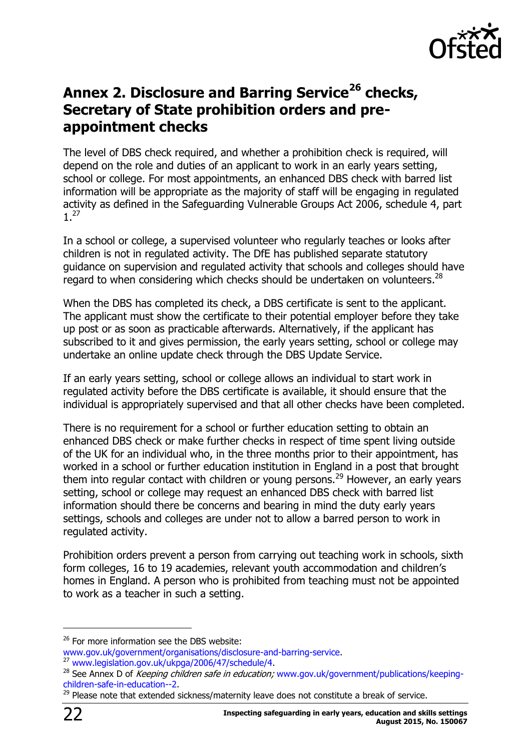

# <span id="page-21-0"></span>**Annex 2. Disclosure and Barring Service<sup>26</sup> checks, Secretary of State prohibition orders and preappointment checks**

The level of DBS check required, and whether a prohibition check is required, will depend on the role and duties of an applicant to work in an early years setting, school or college. For most appointments, an enhanced DBS check with barred list information will be appropriate as the majority of staff will be engaging in regulated activity as defined in the Safeguarding Vulnerable Groups Act 2006, schedule 4, part 1. 27

In a school or college, a supervised volunteer who regularly teaches or looks after children is not in regulated activity. The DfE has published separate statutory guidance on supervision and regulated activity that schools and colleges should have regard to when considering which checks should be undertaken on volunteers.<sup>28</sup>

When the DBS has completed its check, a DBS certificate is sent to the applicant. The applicant must show the certificate to their potential employer before they take up post or as soon as practicable afterwards. Alternatively, if the applicant has subscribed to it and gives permission, the early years setting, school or college may undertake an online update check through the DBS Update Service.

If an early years setting, school or college allows an individual to start work in regulated activity before the DBS certificate is available, it should ensure that the individual is appropriately supervised and that all other checks have been completed.

There is no requirement for a school or further education setting to obtain an enhanced DBS check or make further checks in respect of time spent living outside of the UK for an individual who, in the three months prior to their appointment, has worked in a school or further education institution in England in a post that brought them into regular contact with children or young persons.<sup>29</sup> However, an early years setting, school or college may request an enhanced DBS check with barred list information should there be concerns and bearing in mind the duty early years settings, schools and colleges are under not to allow a barred person to work in regulated activity.

Prohibition orders prevent a person from carrying out teaching work in schools, sixth form colleges, 16 to 19 academies, relevant youth accommodation and children's homes in England. A person who is prohibited from teaching must not be appointed to work as a teacher in such a setting.

[www.gov.uk/government/organisations/disclosure-and-barring-service.](http://www.gov.uk/government/organisations/disclosure-and-barring-service)

-

 $26$  For more information see the DBS website:

<sup>27</sup> [www.legislation.gov.uk/ukpga/2006/47/schedule/4.](http://www.legislation.gov.uk/ukpga/2006/47/schedule/4)

<sup>&</sup>lt;sup>28</sup> See Annex D of Keeping children safe in education; [www.gov.uk/government/publications/keeping](http://www.gov.uk/government/publications/keeping-children-safe-in-education--2)[children-safe-in-education--2.](http://www.gov.uk/government/publications/keeping-children-safe-in-education--2)

 $29$  Please note that extended sickness/maternity leave does not constitute a break of service.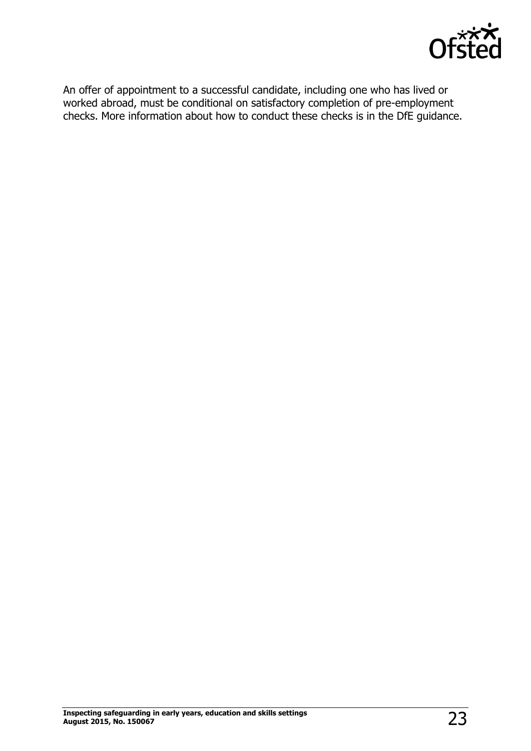

An offer of appointment to a successful candidate, including one who has lived or worked abroad, must be conditional on satisfactory completion of pre-employment checks. More information about how to conduct these checks is in the DfE guidance.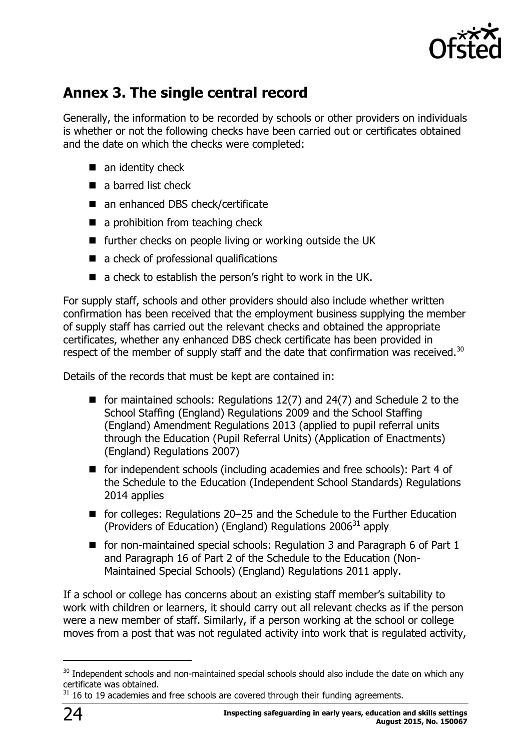

# <span id="page-23-0"></span>**Annex 3. The single central record**

Generally, the information to be recorded by schools or other providers on individuals is whether or not the following checks have been carried out or certificates obtained and the date on which the checks were completed:

- $\blacksquare$  an identity check
- a barred list check
- an enhanced DBS check/certificate
- a prohibition from teaching check
- further checks on people living or working outside the UK
- a check of professional qualifications
- $\blacksquare$  a check to establish the person's right to work in the UK.

For supply staff, schools and other providers should also include whether written confirmation has been received that the employment business supplying the member of supply staff has carried out the relevant checks and obtained the appropriate certificates, whether any enhanced DBS check certificate has been provided in respect of the member of supply staff and the date that confirmation was received. $30$ 

Details of the records that must be kept are contained in:

- for maintained schools: Regulations  $12(7)$  and  $24(7)$  and Schedule 2 to the School Staffing (England) Regulations 2009 and the School Staffing (England) Amendment Regulations 2013 (applied to pupil referral units through the Education (Pupil Referral Units) (Application of Enactments) (England) Regulations 2007)
- for independent schools (including academies and free schools): Part 4 of the Schedule to the Education (Independent School Standards) Regulations 2014 applies
- for colleges: Regulations 20–25 and the Schedule to the Further Education (Providers of Education) (England) Regulations  $2006^{31}$  apply
- for non-maintained special schools: Regulation 3 and Paragraph 6 of Part 1 and Paragraph 16 of Part 2 of the Schedule to the Education (Non-Maintained Special Schools) (England) Regulations 2011 apply.

If a school or college has concerns about an existing staff member's suitability to work with children or learners, it should carry out all relevant checks as if the person were a new member of staff. Similarly, if a person working at the school or college moves from a post that was not regulated activity into work that is regulated activity,

 $\overline{a}$ 

<sup>&</sup>lt;sup>30</sup> Independent schools and non-maintained special schools should also include the date on which any certificate was obtained.

 $31$  16 to 19 academies and free schools are covered through their funding agreements.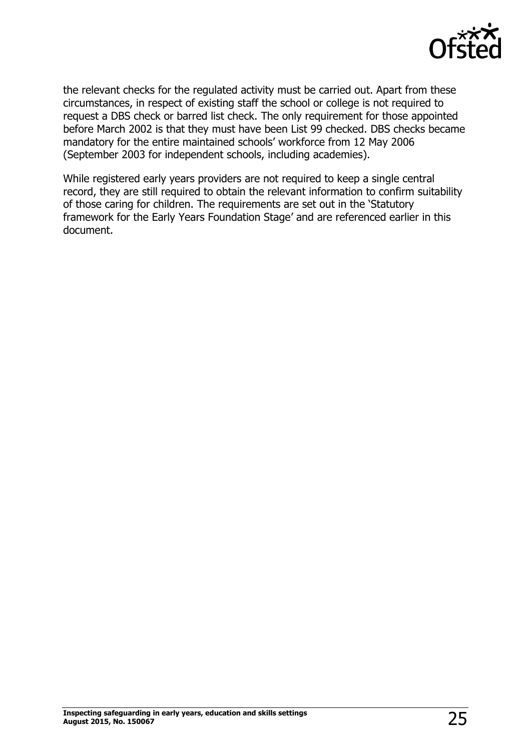

the relevant checks for the regulated activity must be carried out. Apart from these circumstances, in respect of existing staff the school or college is not required to request a DBS check or barred list check. The only requirement for those appointed before March 2002 is that they must have been List 99 checked. DBS checks became mandatory for the entire maintained schools' workforce from 12 May 2006 (September 2003 for independent schools, including academies).

While registered early years providers are not required to keep a single central record, they are still required to obtain the relevant information to confirm suitability of those caring for children. The requirements are set out in the 'Statutory framework for the Early Years Foundation Stage' and are referenced earlier in this document.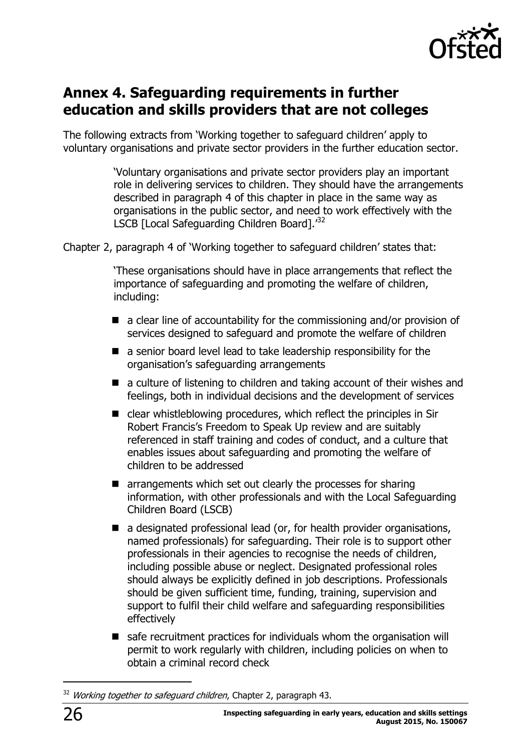

### <span id="page-25-0"></span>**Annex 4. Safeguarding requirements in further education and skills providers that are not colleges**

The following extracts from 'Working together to safeguard children' apply to voluntary organisations and private sector providers in the further education sector.

> 'Voluntary organisations and private sector providers play an important role in delivering services to children. They should have the arrangements described in paragraph 4 of this chapter in place in the same way as organisations in the public sector, and need to work effectively with the LSCB [Local Safeguarding Children Board].<sup>32</sup>

Chapter 2, paragraph 4 of 'Working together to safeguard children' states that:

'These organisations should have in place arrangements that reflect the importance of safeguarding and promoting the welfare of children, including:

- $\blacksquare$  a clear line of accountability for the commissioning and/or provision of services designed to safeguard and promote the welfare of children
- a senior board level lead to take leadership responsibility for the organisation's safeguarding arrangements
- a culture of listening to children and taking account of their wishes and feelings, both in individual decisions and the development of services
- clear whistleblowing procedures, which reflect the principles in Sir Robert Francis's Freedom to Speak Up review and are suitably referenced in staff training and codes of conduct, and a culture that enables issues about safeguarding and promoting the welfare of children to be addressed
- arrangements which set out clearly the processes for sharing information, with other professionals and with the Local Safeguarding Children Board (LSCB)
- a designated professional lead (or, for health provider organisations, named professionals) for safeguarding. Their role is to support other professionals in their agencies to recognise the needs of children, including possible abuse or neglect. Designated professional roles should always be explicitly defined in job descriptions. Professionals should be given sufficient time, funding, training, supervision and support to fulfil their child welfare and safeguarding responsibilities effectively
- safe recruitment practices for individuals whom the organisation will permit to work regularly with children, including policies on when to obtain a criminal record check

<sup>&</sup>lt;sup>32</sup> Working together to safeguard children, Chapter 2, paragraph 43.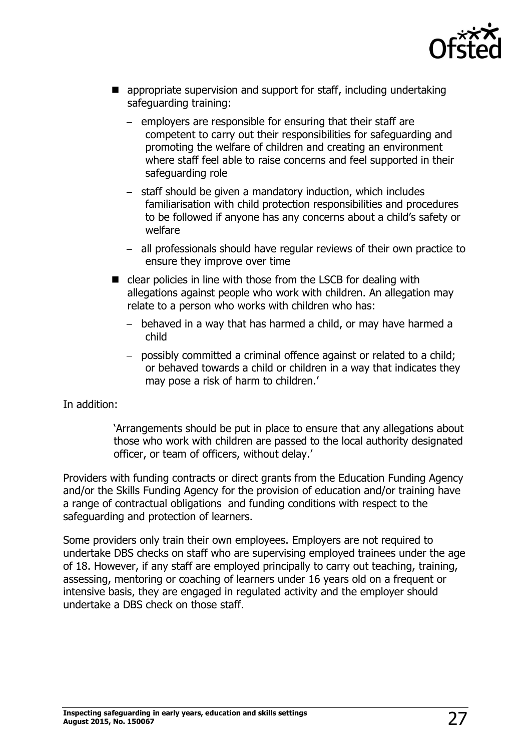

- **E** appropriate supervision and support for staff, including undertaking safeguarding training:
	- $-$  employers are responsible for ensuring that their staff are competent to carry out their responsibilities for safeguarding and promoting the welfare of children and creating an environment where staff feel able to raise concerns and feel supported in their safeguarding role
	- staff should be given a mandatory induction, which includes familiarisation with child protection responsibilities and procedures to be followed if anyone has any concerns about a child's safety or welfare
	- all professionals should have regular reviews of their own practice to ensure they improve over time
- clear policies in line with those from the LSCB for dealing with allegations against people who work with children. An allegation may relate to a person who works with children who has:
	- behaved in a way that has harmed a child, or may have harmed a child
	- possibly committed a criminal offence against or related to a child; or behaved towards a child or children in a way that indicates they may pose a risk of harm to children.'

In addition:

'Arrangements should be put in place to ensure that any allegations about those who work with children are passed to the local authority designated officer, or team of officers, without delay.'

Providers with funding contracts or direct grants from the Education Funding Agency and/or the Skills Funding Agency for the provision of education and/or training have a range of contractual obligations and funding conditions with respect to the safeguarding and protection of learners.

Some providers only train their own employees. Employers are not required to undertake DBS checks on staff who are supervising employed trainees under the age of 18. However, if any staff are employed principally to carry out teaching, training, assessing, mentoring or coaching of learners under 16 years old on a frequent or intensive basis, they are engaged in regulated activity and the employer should undertake a DBS check on those staff.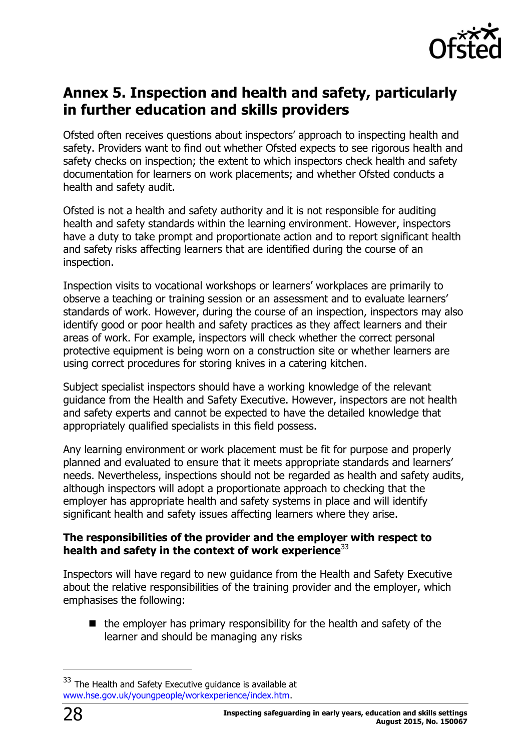

# <span id="page-27-0"></span>**Annex 5. Inspection and health and safety, particularly in further education and skills providers**

Ofsted often receives questions about inspectors' approach to inspecting health and safety. Providers want to find out whether Ofsted expects to see rigorous health and safety checks on inspection; the extent to which inspectors check health and safety documentation for learners on work placements; and whether Ofsted conducts a health and safety audit.

Ofsted is not a health and safety authority and it is not responsible for auditing health and safety standards within the learning environment. However, inspectors have a duty to take prompt and proportionate action and to report significant health and safety risks affecting learners that are identified during the course of an inspection.

Inspection visits to vocational workshops or learners' workplaces are primarily to observe a teaching or training session or an assessment and to evaluate learners' standards of work. However, during the course of an inspection, inspectors may also identify good or poor health and safety practices as they affect learners and their areas of work. For example, inspectors will check whether the correct personal protective equipment is being worn on a construction site or whether learners are using correct procedures for storing knives in a catering kitchen.

Subject specialist inspectors should have a working knowledge of the relevant guidance from the Health and Safety Executive. However, inspectors are not health and safety experts and cannot be expected to have the detailed knowledge that appropriately qualified specialists in this field possess.

Any learning environment or work placement must be fit for purpose and properly planned and evaluated to ensure that it meets appropriate standards and learners' needs. Nevertheless, inspections should not be regarded as health and safety audits, although inspectors will adopt a proportionate approach to checking that the employer has appropriate health and safety systems in place and will identify significant health and safety issues affecting learners where they arise.

#### **The responsibilities of the provider and the employer with respect to health and safety in the context of work experience**<sup>33</sup>

Inspectors will have regard to new guidance from the Health and Safety Executive about the relative responsibilities of the training provider and the employer, which emphasises the following:

 $\blacksquare$  the employer has primary responsibility for the health and safety of the learner and should be managing any risks

<sup>&</sup>lt;sup>33</sup> The Health and Safety Executive guidance is available at [www.hse.gov.uk/youngpeople/workexperience/index.htm.](http://www.hse.gov.uk/youngpeople/workexperience/index.htm)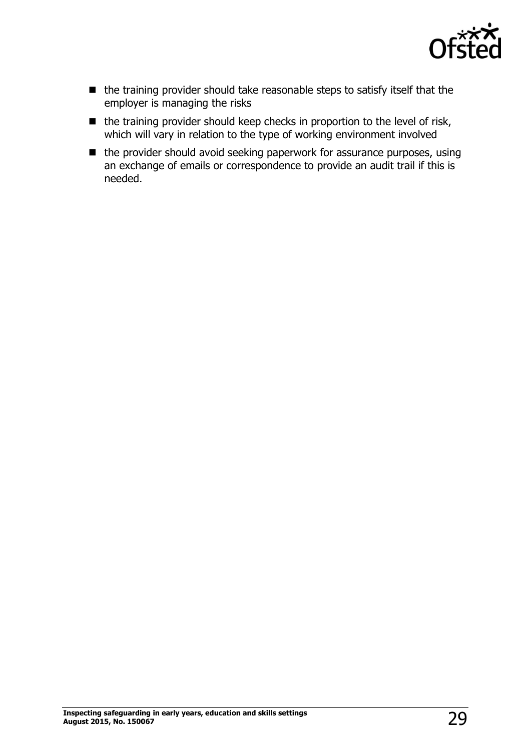

- the training provider should take reasonable steps to satisfy itself that the employer is managing the risks
- $\blacksquare$  the training provider should keep checks in proportion to the level of risk, which will vary in relation to the type of working environment involved
- the provider should avoid seeking paperwork for assurance purposes, using an exchange of emails or correspondence to provide an audit trail if this is needed.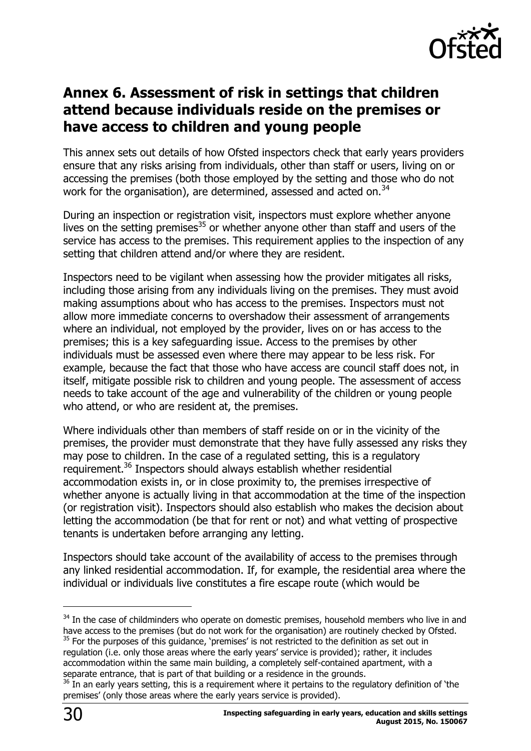

### <span id="page-29-0"></span>**Annex 6. Assessment of risk in settings that children attend because individuals reside on the premises or have access to children and young people**

This annex sets out details of how Ofsted inspectors check that early years providers ensure that any risks arising from individuals, other than staff or users, living on or accessing the premises (both those employed by the setting and those who do not work for the organisation), are determined, assessed and acted on.<sup>34</sup>

During an inspection or registration visit, inspectors must explore whether anyone lives on the setting premises<sup>35</sup> or whether anyone other than staff and users of the service has access to the premises. This requirement applies to the inspection of any setting that children attend and/or where they are resident.

Inspectors need to be vigilant when assessing how the provider mitigates all risks, including those arising from any individuals living on the premises. They must avoid making assumptions about who has access to the premises. Inspectors must not allow more immediate concerns to overshadow their assessment of arrangements where an individual, not employed by the provider, lives on or has access to the premises; this is a key safeguarding issue. Access to the premises by other individuals must be assessed even where there may appear to be less risk. For example, because the fact that those who have access are council staff does not, in itself, mitigate possible risk to children and young people. The assessment of access needs to take account of the age and vulnerability of the children or young people who attend, or who are resident at, the premises.

Where individuals other than members of staff reside on or in the vicinity of the premises, the provider must demonstrate that they have fully assessed any risks they may pose to children. In the case of a regulated setting, this is a regulatory requirement.<sup>36</sup> Inspectors should always establish whether residential accommodation exists in, or in close proximity to, the premises irrespective of whether anyone is actually living in that accommodation at the time of the inspection (or registration visit). Inspectors should also establish who makes the decision about letting the accommodation (be that for rent or not) and what vetting of prospective tenants is undertaken before arranging any letting.

Inspectors should take account of the availability of access to the premises through any linked residential accommodation. If, for example, the residential area where the individual or individuals live constitutes a fire escape route (which would be

 $\overline{a}$ 

<sup>&</sup>lt;sup>34</sup> In the case of childminders who operate on domestic premises, household members who live in and have access to the premises (but do not work for the organisation) are routinely checked by Ofsted.  $35$  For the purposes of this guidance, 'premises' is not restricted to the definition as set out in

regulation (i.e. only those areas where the early years' service is provided); rather, it includes accommodation within the same main building, a completely self-contained apartment, with a separate entrance, that is part of that building or a residence in the grounds.

 $36$  In an early years setting, this is a requirement where it pertains to the regulatory definition of 'the premises' (only those areas where the early years service is provided).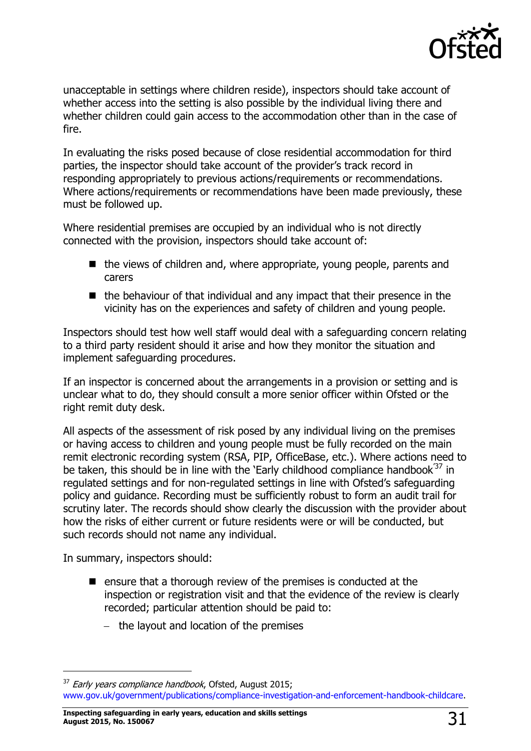

unacceptable in settings where children reside), inspectors should take account of whether access into the setting is also possible by the individual living there and whether children could gain access to the accommodation other than in the case of fire.

In evaluating the risks posed because of close residential accommodation for third parties, the inspector should take account of the provider's track record in responding appropriately to previous actions/requirements or recommendations. Where actions/requirements or recommendations have been made previously, these must be followed up.

Where residential premises are occupied by an individual who is not directly connected with the provision, inspectors should take account of:

- $\blacksquare$  the views of children and, where appropriate, young people, parents and carers
- $\blacksquare$  the behaviour of that individual and any impact that their presence in the vicinity has on the experiences and safety of children and young people.

Inspectors should test how well staff would deal with a safeguarding concern relating to a third party resident should it arise and how they monitor the situation and implement safeguarding procedures.

If an inspector is concerned about the arrangements in a provision or setting and is unclear what to do, they should consult a more senior officer within Ofsted or the right remit duty desk.

All aspects of the assessment of risk posed by any individual living on the premises or having access to children and young people must be fully recorded on the main remit electronic recording system (RSA, PIP, OfficeBase, etc.). Where actions need to be taken, this should be in line with the 'Early childhood compliance handbook<sup>37</sup> in regulated settings and for non-regulated settings in line with Ofsted's safeguarding policy and guidance. Recording must be sufficiently robust to form an audit trail for scrutiny later. The records should show clearly the discussion with the provider about how the risks of either current or future residents were or will be conducted, but such records should not name any individual.

In summary, inspectors should:

j

- $\blacksquare$  ensure that a thorough review of the premises is conducted at the inspection or registration visit and that the evidence of the review is clearly recorded; particular attention should be paid to:
	- $-$  the layout and location of the premises

**Inspecting safeguarding in early years, education and skills settings August 2015, No. 150067** 31

<sup>&</sup>lt;sup>37</sup> Early years compliance handbook, Ofsted, August 2015; [www.gov.uk/government/publications/compliance-investigation-and-enforcement-handbook-childcare.](http://www.gov.uk/government/publications/compliance-investigation-and-enforcement-handbook-childcare)